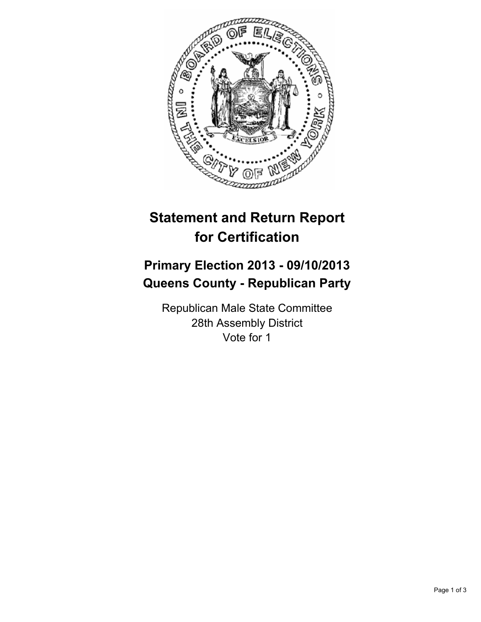

## **Statement and Return Report for Certification**

## **Primary Election 2013 - 09/10/2013 Queens County - Republican Party**

Republican Male State Committee 28th Assembly District Vote for 1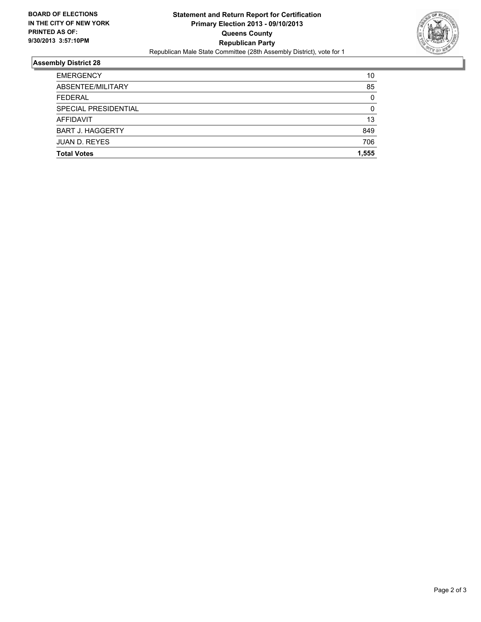

## **Assembly District 28**

| <b>Total Votes</b>      | 1,555    |
|-------------------------|----------|
|                         |          |
| <b>JUAN D. REYES</b>    | 706      |
| <b>BART J. HAGGERTY</b> | 849      |
| AFFIDAVIT               | 13       |
| SPECIAL PRESIDENTIAL    | 0        |
| <b>FEDERAL</b>          | $\Omega$ |
| ABSENTEE/MILITARY       | 85       |
| <b>EMERGENCY</b>        | 10       |